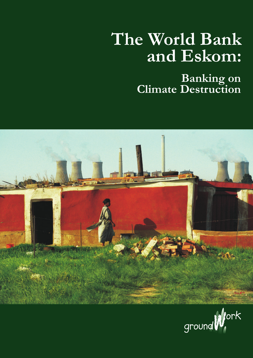# **The World Bank and Eskom:**

**Banking on Climate Destruction**



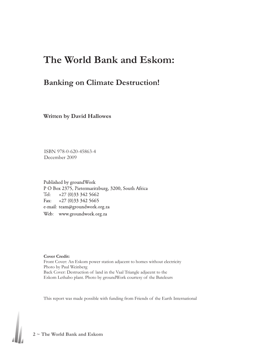### **The World Bank and Eskom:**

### **Banking on Climate Destruction!**

**Written by David Hallowes**

ISBN 978-0-620-45863-4 December 2009

Published by ground Work P O Box 2375, Pietermaritzburg, 3200, South Africa Tel:  $+27(0)333425662$  $\operatorname{Fax}:$  $+27(0)333425665$ e-mail: team@groundwork.org.za Web: www.groundwork.org.za

#### **Cover Credit:**

Front Cover: An Eskom power station adjacent to homes without electricity Photo by Paul Weinberg Back Cover: Destruction of land in the Vaal Triangle adjacent to the Eskom Lethabo plant. Photo by groundWork courtesy of the Bateleurs

This report was made possible with funding from Friends of the Earth International

**2 ~ The World Bank and Eskom**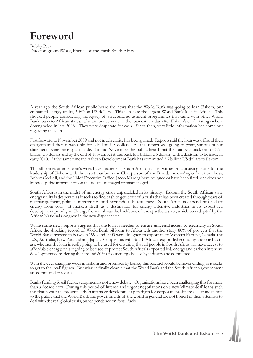# **Foreword**

Bobby Peek Director, groundWork, Friends of the Earth South Africa

A year ago the South African public heard the news that the World Bank was going to loan Eskom, our embattled energy utility, 5 billion US dollars. This is todate the largest World Bank loan in Africa. This shocked people considering the legacy of structural adjustment programmes that came with other Wrold Bank loans to African states. The announcement on the loan came a day after Eskom's credit ratings where downgraded in late 2008. They were desperate for cash. Since then, very little information has come out regarding the loan.

Fast forward to November 2009 and not much clarity has been gained. Reports said the loan was off, and then on again and then it was only for 2 billion US dollars. As this report was going to print, various public statements were once again made. In mid November the public heard that the loan was back on for 3.75 billion US dollars and by the end of November it was back to 5 billion US dollars, with a decision to be made in early 2010. At the same time the African Development Bank has committed 2.7 billion US dollars to Eskom.

This all comes after Eskom's woes have deepened. South Africa has just witnessed a bruising battle for the leadership of Eskom with the result that both the Chairperson of the Board, the ex-Anglo American boss, Bobby Godsell, and the Chief Executive Office, Jacob Maroga have resigned or have been fired, one does not know as pubic information on this issue is managed or mismanaged.

South Africa is in the midst of an energy crisis unparalleled in its history. Eskom, the South African state energy utility is desperate as it seeks to find cash to get it out of a crisis that has been created through years of mismanagement, political interference and horrendous bureaucracy. South Africa is dependent on dirty energy from coal. It markets itself as a destination for energy intensive industries in its export led development paradigm. Energy from coal was the backbone of the apartheid state, which was adopted by the African National Congress in the new dispensation.

While some news reports suggest that the loan is needed to ensure universal access to electricity in South Africa, the shocking record of World Bank oil loans to Africa tells another story. 80% of projects that the World Bank invested in between 1992 and 2003 were designed to export oil to Western Europe, Canada, the U.S., Australia, New Zealand and Japan. Couple this with South Africa's export led economy and one has to ask whether the loan is really going to be used for ensuring that all people in South Africa will have access to affordable energy, or is it going to be used to protect South Africa's exported led, energy and carbon intensive development considering that around 80% of our energy is used by industry and commerce.

With the ever changing woes in Eskom and promises by banks, this research could be never ending as it seeks to get to the 'real' figures. But what is finally clear is that the World Bank and the South African government are committed to fossils.

Banks funding fossil fuel development is not a new debate. Organisations have been challenging this for more than a decade now. During this period of intense and urgent negotiations on a new 'climate deal' loans such this that favour the present carbon intensive development paradigm for corporate profit are a clear indication to the public that the World Bank and governments of the world in general are not honest in their attempts to deal with the real global crisis, our dependence on fossil fuels.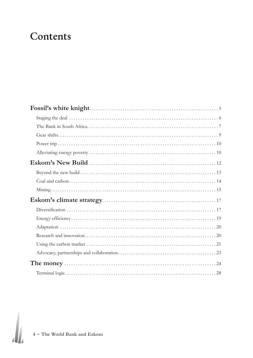# Contents

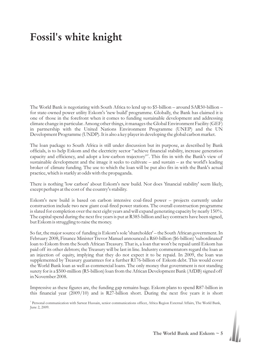# **Fossil's white knight**

The World Bank is negotiating with South Africa to lend up to \$5-billion – around SAR50-billion – for state-owned power utility Eskom's 'new build' programme. Globally, the Bank has claimed it is one of those in the forefront when it comes to funding sustainable development and addressing climate change in particular. Among other things, it manages the Global Environment Facility (GEF) in partnership with the United Nations Environment Programme (UNEP) and the UN Development Programme (UNDP). It is also a key player in developing the global carbon market.

The loan package to South Africa is still under discussion but its purpose, as described by Bank officials, is to help Eskom and the electricity sector "achieve financial stability, increase generation capacity and efficiency, and adopt a low-carbon trajectory". This fits in with the Bank's view of sustainable development and the image it seeks to cultivate – and sustain – as the world's leading broker of climate funding. The use to which the loan will be put also fits in with the Bank's actual practice, which is starkly at odds with the propaganda.

There is nothing 'low carbon' about Eskom's new build. Nor does 'financial stability' seem likely, except perhaps at the cost of the country's stability.

Eskom's new build is based on carbon intensive coal-fired power – projects currently under construction include two new giant coal-fired power stations. The overall construction programme is slated for completion over the next eight years and will expand generating capacity by nearly 150%. The capital spend during the next five years is put at R385-billion and key contracts have been signed, but Eskom is struggling to raise the money.

So far, the major source of funding is Eskom's sole 'shareholder' – the South African government. In February 2008, Finance Minister Trevor Manuel announced a R60-billion (\$6-billion) 'subordinated' loan to Eskom from the South African Treasury. That is, a loan that won't be repaid until Eskom has paid off its other debtors; the Treasury will be last in line. Industry commentators regard the loan as an injection of equity, implying that they do not expect it to be repaid. In 2009, the loan was supplemented by Treasury guarantees for a further R176-billion of Eskom debt. This would cover the World Bank loan as well as commercial loans. The only money that government is not standing surety for is a \$500-million (R5-billion) loan from the African Development Bank (AfDB) signed off in November 2008.

Impressive as these figures are, the funding gap remains huge. Eskom plans to spend R87-billion in this financial year (2009/10) and is R27-billion short. During the next five years it is short

<sup>1</sup> Personal communication with Sarwat Hussain, senior communications officer, Africa Region External Affairs, The World Bank, June 2, 2009.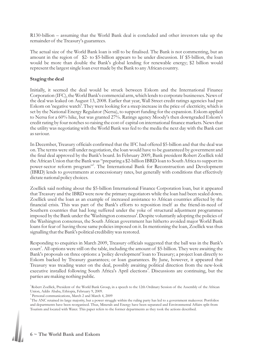R130-billion – assuming that the World Bank deal is concluded and other investors take up the remainder of the Treasury's guarantees.

The actual size of the World Bank loan is still to be finalised. The Bank is not commenting, but an amount in the region of \$2- to \$5-billion appears to be under discussion. If \$5-billion, the loan would be more than double the Bank's global lending for renewable energy; \$2 billion would represent the largest single loan ever made by the Bank to any African country.

#### **Staging the deal**

Initially, it seemed the deal would be struck between Eskom and the International Finance Corporation (IFC), the World Bank's commercial arm, which lends to corporate businesses. News of the deal was leaked on August 13, 2008. Earlier that year, Wall Street credit ratings agencies had put Eskom on 'negative watch'. They were looking for a steep increase in the price of electricity, which is set by the National Energy Regulator (Nersa), to support funding for the expansion. Eskom applied to Nersa for a 60% hike, but was granted 27%. Ratings agency Moody's then downgraded Eskom's credit rating by four notches so raising the cost of capital on international finance markets. News that the utility was negotiating with the World Bank was fed to the media the next day with the Bank cast as saviour.

In December, Treasury officials confirmed that the IFC had offered \$5-billion and that the deal was on. The terms were still under negotiation, the loan would have to be guaranteed by government and the final deal approved by the Bank's board. In February 2009, Bank president Robert Zoellick told the African Union that the Bank was "preparing a \$2-billion IBRD loan to South Africa to support its power-sector reform program"<sup>2</sup>. The International Bank for Reconstruction and Development (IBRD) lends to governments at concessionary rates, but generally with conditions that effectively dictate national policy choices.

Zoellick said nothing about the \$5-billion International Finance Corporation loan, but it appeared that Treasury and the IBRD were now the primary negotiators while the loan had been scaled down. Zoellick used the loan as an example of increased assistance to African countries affected by the financial crisis. This was part of the Bank's efforts to reposition itself as the friend-in-need of Southern countries that had long suffered under the yoke of structural adjustment programmes imposed by the Bank under the 'Washington consensus'. Despite voluntarily adopting the policies of the Washington consensus, the South African government has hitherto avoided major World Bank loans for fear of having those same policies imposed on it. In mentioning the loan, Zoellick was thus signalling that the Bank's political credibility was restored.

Responding to enquiries in March 2009, Treasury officials suggested that the ball was in the Bank's court<sup>3</sup>. All options were still on the table, including the amount of \$5-billion. They were awaiting the Bank's proposals on three options: a 'policy development' loan to Treasury; a project loan directly to Eskom backed by Treasury guarantees; or loan guarantees. By June, however, it appeared that Treasury was treading water on the deal, possibly awaiting political direction from the new-look executive installed following South Africa's April elections<sup>4</sup>. Discussions are continuing, but the parties are making nothing public.



<sup>&</sup>lt;sup>2</sup>Robert Zoellick, President of the World Bank Group, in a speech to the 12th Ordinary Session of the Assembly of the African Union, Addis Ababa, Ethiopia, February 9, 2009.

<sup>&</sup>lt;sup>3</sup> Personal communications, March 2 and March 4, 2009

<sup>&</sup>lt;sup>4</sup>The ANC retained its large majority, but a power struggle within the ruling party has led to a government makeover. Portfolios and departments have been reorganised. Thus, Minerals and Energy have been separated and Environmental Affairs split from Tourism and located with Water. This paper refers to the former departments as they took the actions described.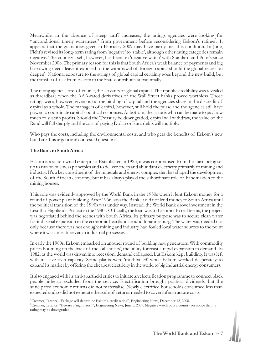Meanwhile, in the absence of steep tariff increases, the ratings agencies were looking for "unconditional timely guarantees" from government before reconsidering Eskom's ratings<sup>5</sup>. It appears that the guarantees given in February 2009 may have partly met this condition. In June, Ficht's revised its long-term rating from 'negative' to 'stable', although other rating categories remain negative. The country itself, however, has been on 'negative watch' with Standard and Poor's since November 2008. The primary reason for this is that South Africa's weak balance of payments and big borrowing needs leave it exposed to the withdrawal of foreign capital should the global recession deepen<sup>6</sup>. National exposure to the swings of global capital certainly goes beyond the new build, but the transfer of risk from Eskom to the State contributes substantially.

The rating agencies are, of course, the servants of global capital. Their public credibility was revealed as threadbare when the AAA-rated derivatives of the Wall Street banks proved worthless. Those ratings were, however, given out at the bidding of capital and the agencies share in the discredit of capital as a whole. The managers of capital, however, still hold the purse and the agencies still have power to coordinate capital's political responses. At bottom, the issue is who can be made to pay how much to sustain profits. Should the Treasury be downgraded, capital will withdraw, the value of the Rand will fall sharply and the cost of paying Dollar or Euro debts will multiply.

Who pays the costs, including the environmental costs, and who gets the benefits of Eskom's new build are thus urgent and contested questions.

#### **The Bank in South Africa**

Eskom is a state-owned enterprise. Established in 1923, it was corporatised from the start, being set up to run on business principles and to deliver cheap and abundant electricity primarily to mining and industry. It's a key constituent of the minerals and energy complex that has shaped the development of the South African economy, but it has always played the subordinate role of handmaiden to the mining houses.

This role was evidently approved by the World Bank in the 1950s when it lent Eskom money for a round of power plant building. After 1966, says the Bank, it did not lend money to South Africa until the political transition of the 1990s was under way. Instead, the World Bank drove investment in the Lesotho Highlands Project in the 1980s. Officially, the loan was to Lesotho. In real terms, the project was negotiated behind the scenes with South Africa. Its primary purpose was to secure clean water for industrial expansion in the economic heartland around Johannesburg. The water was needed not only because there was not enough: mining and industry had fouled local water sources to the point where it was unusable even in industrial processes.

In early the 1980s, Eskom embarked on another round of building new generators. With commodity prices booming on the back of the 'oil shocks', the utility forecast a rapid expansion in demand. In 1982, as the world was driven into recession, demand collapsed, but Eskom kept building. It was left with massive over-capacity. Some plants were 'mothballed' while Eskom worked desperately to expand its market by offering the cheapest electricity in the world to big industrial energy consumers.

It also engaged with its anti-apartheid critics to initiate an electrification programme to connect black people hitherto excluded from the service. Electrification brought political dividends, but the anticipated economic returns did not materialise. Newly electrified households consumed less than expected and so did not generate the scale of returns needed to cover infrastructure costs.

<sup>&</sup>lt;sup>5</sup> Creamer, Terence: "Package will determine Eskom's credit rating", Engineering News, December 12, 2008.

<sup>&</sup>lt;sup>6</sup>Creamer, Terence: "Beware a 'night frost"", Engineering News, June 5, 2009. Negative watch puts a country on notice that its rating may be downgraded.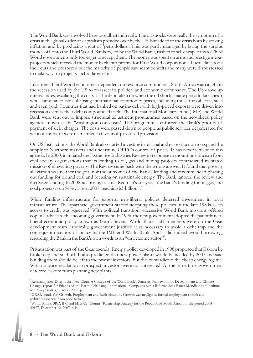The World Bank was involved here too, albeit indirectly. The oil shocks were really the symptom of a crisis in the global order of capitalism presided over by the US, but added to the crisis both by stoking inflation and by producing a glut of 'petrodollars'. This was partly managed by laying the surplus money off onto the Third World. Bankers, led by the World Bank, rushed to sell cheap loans to Third World governments only too eager to accept them. The money was spent on arms and prestige megaprojects which recycled the money back into profits for First World corporations. Local elites took their cuts and prospered but the majority of people saw scant benefits and many were dispossessed to make way for projects such as large dams.

Like other Third World economies dependent on resource commodities, South Africa was caught in the recession used by the US to re-assert its political and economic dominance. The US drove up interest rates, escalating the costs of the debt taken on when the oil shocks made petrodollars cheap, while simultaneously collapsing international commodity prices, including those for oil, coal, steel and even gold. Countries that had banked on paying debt with high-priced exports were driven into recession even as their debt compounded itself. The International Monetary Fund (IMF) and World Bank were sent out to impose structural adjustment programmes based on the neo-liberal policy agenda known as the 'Washington consensus'. The programmes enforced the Bank's priority of payment of debt charges. The costs were passed down to people as public services degenerated for want of funds, or were dismantled in favour of privatised provision.

On US instructions, the World Bank also started investing in oil, coal and gas extraction to expand the supply to Northern markets and undermine OPEC's control of prices. It has never jettisoned this agenda. In 2000, it initiated the Extractive Industries Review in response to mounting criticism from civil society organisations that its lending to oil, gas and mining projects contradicted its stated mission of alleviating poverty. The Review came back with the wrong answer. It found that poverty alleviation was neither the goal nor the outcome of the Bank's lending and recommended phasing out funding for oil and coal and focusing on sustainable energy. The Bank ignored the review and increased lending. In 2008, according to Janet Redman's analysis, "the Bank's funding for oil, gas, and coal projects is up 94% ... over 2007, reaching \$3-billion".

While funding infrastructure for exports, neo-liberal policies deterred investment in local infrastructure. The apartheid government started adopting these policies in the late 1980s as its access to credit was squeezed. With political transition, successive World Bank missions offered copious advice to the incoming government. In 1996, the new government adopted the patently neoliberal economic policy known as Gear<sup>8</sup>. Several World Bank staff members were on the Gear development team. Ironically, government justified it as necessary to avoid a debt trap and the consequent dictation of policy by the IMF and World Bank. And it did indeed avoid borrowing, regarding the Bank in the Bank's own words as an "unwelcome suitor".

Privatisation was part of the Gear agenda. Energy policy developed in 1998 proposed that Eskom be broken up and sold off. It also predicted that new power plants would be needed by 2007 and said building them should be left to the private investors. But this contradicted the cheap energy regime. With no price escalation in prospect, investors were not interested. At the same time, government deterred Eskom from planning new plants.



<sup>&</sup>lt;sup>7</sup>Redman, Janet: Dirty is the New Clean: A Critique of the World Bank's Strategic Framework for Development and Climate Change, report for Friends of the Earth, OilChange International, Campagna per la Riforma della Banca Mondiale and Institute for Policy Studies, October 2008. p.2.

<sup>8</sup>GEAR stands for 'Growth, Employment and Redistribution'. Growth was negligible, formal employment shrank and redistribution was from poor to rich.

<sup>9</sup>World Bank (IBRD, IFC and MIGA): "Country Partnership Strategy for the Republic of South Africa for the period 2008 – 2012", December 12, 2007. p.44.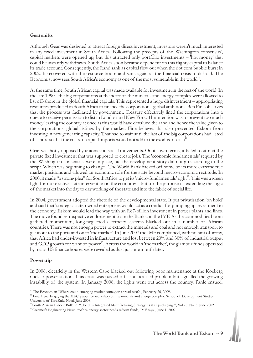#### **Gear shifts**

Although Gear was designed to attract foreign direct investment, investors weren't much interested in any fixed investment in South Africa. Following the precepts of the 'Washington consensus', capital markets were opened up, but this attracted only portfolio investments – 'hot money' that could be instantly withdrawn. South Africa soon became dependent on this flighty capital to balance its trade account. Consequently, the Rand sank as capital flew out when the dot.com bubble burst in 2002. It recovered with the resource boom and sank again as the financial crisis took hold. The Economist now sees South Africa's economy as one of the most vulnerable in the world<sup>10</sup>.

At the same time, South African capital was made available for investment in the rest of the world. In the late 1990s, the big corporations at the heart of the minerals and energy complex were allowed to list off-shore in the global financial capitals. This represented a huge disinvestment – appropriating resources produced in South Africa to finance the corporations' global ambitions. Ben Fine observes that the process was facilitated by government. Treasury effectively lined the corporations into a queue to receive permission to list in London and New York. The intention was to prevent too much money leaving the country at once as this would have devalued the rand and hence the value given to the corporations' global listings by the market. Fine believes this also prevented Eskom from investing in new generating capacity. That had to wait until the last of the big corporations had listed off-shore so that the costs of capital imports would not add to the exodus of  $\cosh$ <sup>11</sup>.

Gear was hotly opposed by unions and social movements. On its own terms, it failed to attract the private fixed investment that was supposed to create jobs. The 'economic fundamentals' required by the 'Washington consensus' were in place, but the development story did not go according to the script. Which was beginning to change. The World Bank backed off some of its more extreme free market positions and allowed an economic role for the state beyond macro-economic rectitude. In 2000, it made "a strong plea" for South Africa to get its 'micro-fundamentals' right<sup>12</sup>. This was a green light for more active state intervention in the economy – but for the purpose of extending the logic of the market into the day to day working of the state and into the fabric of social life.

In 2004, government adopted the rhetoric of the developmental state. It put privatisation 'on hold' and said that 'strategic' state-owned enterprises would act as a conduit for pumping up investment in the economy. Eskom would lead the way with an R87-billion investment in power plants and lines. The move found retrospective endorsement from the Bank and the IMF. As the commodities boom gathered momentum, long-neglected electricity systems blacked out in a number of African countries. There was not enough power to extract the minerals and coal and not enough transport to get it out to the ports and on to 'the market'. In June 2007 the IMF complained, with no hint of irony, that Africa had under-invested in infrastructure and lost between 20% and 30% of industrial output and GDP growth for want of power<sup>13</sup>. Across the world in 'the market', the glamour funds operated by major US finance houses were revealed as dust just one month later.

#### **Power trip**

In 2006, electricity in the Western Cape blacked out following poor maintenance at the Koeberg nuclear power station. This crisis was passed off as a localised problem but signalled the growing instability of the system. In January 2008, the lights went out across the country. Panic ensued.

- <sup>12</sup> South African Labour Bulletin: "The dti's Integrated Manufacturing Strategy: Is it all packaging?", Vol.26, No. 3, June 2002.
- <sup>13</sup> Creamer's Engineering News: "Africa energy sector needs reform funds, IMF says", June 1, 2007.

 $10$  The Economist: "Where could emerging-market contagion spread next?", February 26, 2009.

<sup>&</sup>lt;sup>11</sup> Fine, Ben: Engaging the MEC, paper for workshop on the minerals and energy complex, School of Development Studies, University of KwaZulu-Natal, June 2008.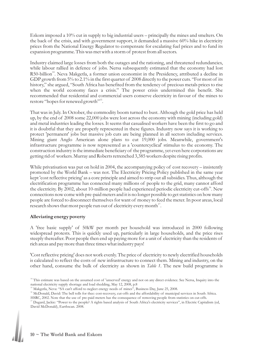Eskom imposed a 10% cut in supply to big industrial users – principally the mines and smelters. On the back of the crisis, and with government support, it demanded a massive 60% hike in electricity prices from the National Energy Regulator to compensate for escalating fuel prices and to fund its expansion programme. This was met with a storm of protest from all sectors.

Industry claimed large losses from both the outages and the rationing, and threatened redundancies, while labour rallied in defence of jobs. Nersa subsequently estimated that the economy had lost R50-billion<sup>14</sup>. Neva Makgetla, a former union economist in the Presidency, attributed a decline in GDP growth from 5% to 2.1% in the first quarter of 2008 directly to the power cuts. "For most of its history," she argued, "South Africa has benefited from the tendency of precious metals prices to rise when the world economy faces a crisis." The power crisis undermined this benefit. She recommended that residential and commercial users conserve electricity in favour of the mines to restore "hopes for renewed growth"<sup>15</sup>.

That was in July. In October, the commodity boom turned to bust. Although the gold price has held up, by the end of 2008 some 22,000 jobs were lost across the economy with mining (including gold) and metal industries leading the losses. It seems that casualised workers have been the first to go and it is doubtful that they are properly represented in these figures. Industry now says it is working to protect 'permanent' jobs but massive job cuts are being planned in all sectors including services. Mining giant Anglo American alone plans to cut 19,000 jobs. Meanwhile, government's infrastructure programme is now represented as a 'countercyclical' stimulus to the economy. The construction industry is the immediate beneficiary of the programme, yet even here corporations are getting rid of workers. Murray and Roberts retrenched 3,385 workers despite rising profits.

While privatisation was put on hold in 2004, the accompanying policy of cost recovery – insistently promoted by the World Bank – was not. The Electricity Pricing Policy published in the same year kept 'cost reflective pricing' as a core principle and aimed to strip out all subsidies. Thus, although the electrification programme has connected many millions of people to the grid, many cannot afford the electricity. By 2002, about 10-million people had experienced periodic electricity cut-offs<sup>16</sup>. New connections now come with pre-paid meters and it is no longer possible to get statistics on how many people are forced to disconnect themselves for want of money to feed the meter. In poor areas, local research shows that most people run out of electricity every month<sup>17</sup>.

#### **Alleviating energy poverty**

A 'free basic supply' of 50kW per month per household was introduced in 2000 following widespread protests. This is quickly used up, particularly in large households, and the price rises steeply thereafter. Poor people then end up paying more for a unit of electricity than the residents of rich areas and pay more than three times what industry pays!

'Cost reflective pricing' does not work evenly. The price of electricity to newly electrified households is calculated to reflect the costs of new infrastructure to connect them. Mining and industry, on the other hand, consume the bulk of electricity as shown in *Table 1*. The new build programme is

HSRC, 2002. Note that the use of pre-paid meters has the consequence of removing people from statistics on cut-offs.

<sup>&</sup>lt;sup>17</sup> Dugard, Jackie: "Power to the people? A rights based analysis of South Africa's electricity services", in Electric Capitalism (ed, David McDonald), Earthscan. 2008.



<sup>&</sup>lt;sup>14</sup> This estimate was based on the assumed cost of 'unserved' energy and not on any direct evidence. See Nersa, Inquiry into the national electricity supply shortage and load shedding, May 12, 2008, p.8

<sup>&</sup>lt;sup>15</sup> Makgetla, Neva: "SA can't afford to neglect energy needs of mines", Business Day, June 25, 2008.

<sup>&</sup>lt;sup>16</sup> McDonald, David: The bell tolls for thee: cost-recovery, cut-offs and the affordability of municipal services in South Africa.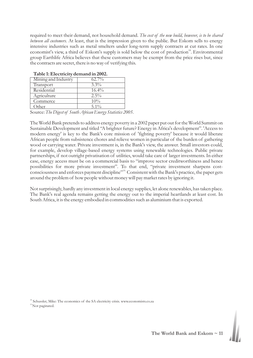required to meet their demand, not household demand. *The cost of the new build, however, is to be shared between all customers.* At least, that is the impression given to the public. But Eskom sells to energy intensive industries such as metal smelters under long-term supply contracts at cut rates. In one economist's view, a third of Eskom's supply is sold below the cost of production<sup>18</sup>. Environmental group Earthlife Africa believes that these customers may be exempt from the price rises but, since the contracts are secret, there is no way of verifying this.

| Mining and Industry | 52.7%    |  |  |  |
|---------------------|----------|--|--|--|
| Transport           | $3.3\%$  |  |  |  |
| Residential         | $16.4\%$ |  |  |  |
| Agriculture         | $2.5\%$  |  |  |  |
| Commerce            | $10\%$   |  |  |  |
| Other               | $5.1\%$  |  |  |  |

Source: *The Digest of South African Energy Statistics 2005.*

The World Bank pretends to address energy poverty in a 2002 paper put out for the World Summit on Sustainable Development and titled "A brighter future? Energy in Africa's development". 'Access to modern energy' is key to the Bank's core mission of 'fighting poverty' because it would liberate African people from subsistence chores and relieve women in particular of the burden of gathering wood or carrying water. Private investment is, in the Bank's view, the answer. Small investors could, for example, develop village-based energy systems using renewable technologies. Public private partnerships, if not outright privatisation of utilities, would take care of larger investments. In either case, energy access must be on a commercial basis to "improve sector creditworthiness and hence possibilities for more private investment". To that end, "private investment sharpens costconsciousness and enforces payment discipline"<sup>19.</sup> Consistent with the Bank's practice, the paper gets around the problem of how people without money will pay market rates by ignoring it.

Not surprisingly, hardly any investment in local energy supplies, let alone renewables, has taken place. The Bank's real agenda remains getting the energy out to the imperial heartlands at least cost. In South Africa, it is the energy embodied in commodities such as aluminium that is exported.

<sup>18</sup> Schussler, Mike: The economics of the SA electricity crisis. www.economists.co.za

<sup>19</sup>Not paginated.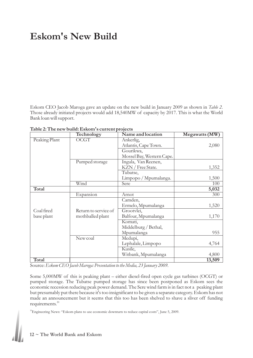## **Eskom's New Build**

Eskom CEO Jacob Maroga gave an update on the new build in January 2009 as shown in *Table 2*. Those already initiated projects would add 18,540MW of capacity by 2017. This is what the World Bank loan will support.

|               | Technology           | Name and location         | <b>Megawatts (MW)</b> |
|---------------|----------------------|---------------------------|-----------------------|
| Peaking Plant | <b>OCGT</b>          | Ankerlig,                 |                       |
|               |                      | Atlantis, Cape Town.      | 2,080                 |
|               |                      | Gourikwa,                 |                       |
|               |                      | Mossel Bay, Western Cape. |                       |
|               | Pumped storage       | Ingula, Van Reenen,       |                       |
|               |                      | KZN / Free State.         | 1,352                 |
|               |                      | Tubatse,                  |                       |
|               |                      | Limpopo / Mpumalanga.     | 1,500                 |
|               | Wind                 | Sere                      | 100                   |
| Total         |                      |                           | 5,032                 |
|               | Expansion            | Arnot                     | 300                   |
|               |                      | Camden,                   |                       |
|               |                      | Ermelo, Mpumalanga        | 1,520                 |
| Coal fired    | Return to service of | Grootvlei,                |                       |
| base plant    | mothballed plant     | Balfour, Mpumalanga       | 1,170                 |
|               |                      | Komati,                   |                       |
|               |                      | Middelburg / Bethal,      |                       |
|               |                      | Mpumalanga                | 955                   |
|               | New coal             | Medupi,                   |                       |
|               |                      | Lephalale, Limpopo        | 4,764                 |
|               |                      | Kusile,                   |                       |
|               |                      | Witbank, Mpumalanga       | 4,800                 |
| Total         |                      |                           | 13,509                |

#### **Table 2: The new build: Eskom's current projects**

Source: *Eskom CEO Jacob Maroga: Presentation to the Media, 23 January 2009.*

Some 5,000MW of this is peaking plant – either diesel-fired open cycle gas turbines (OCGT) or pumped storage. The Tubatse pumped storage has since been postponed as Eskom sees the economic recession reducing peak power demand. The Sere wind farm is in fact not a peaking plant but presumably put there because it's too insignificant to be given a separate category. Eskom has not made an announcement but it seems that this too has been shelved to shave a sliver off funding requirements. $20$ 

<sup>20</sup>Engineering News: "Eskom plans to use economic downturn to reduce capital costs", June 5, 2009.

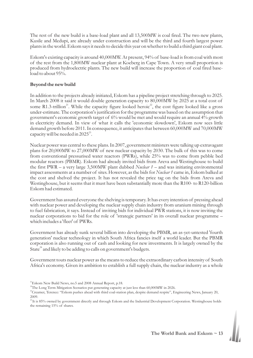The rest of the new build is a base-load plant and all 13,500MW is coal fired. The two new plants, Kusile and Medupi, are already under construction and will be the third and fourth largest power plants in the world. Eskom says it needs to decide this year on whether to build a third giant coal plant.

Eskom's existing capacity is around 40,000MW. At present, 94% of base-load is from coal with most of the rest from the 1,800MW nuclear plant at Koeberg in Cape Town. A very small proportion is produced from hydroelectric plants. The new build will increase the proportion of coal fired baseload to about 95%.

#### **Beyond the new build**

In addition to the projects already initiated, Eskom has a pipeline project stretching through to 2025. In March 2008 it said it would double generation capacity to 80,000MW by 2025 at a total cost of some R1.3-trillion<sup>21</sup>. While the capacity figure looked heroic<sup>22</sup>, the cost figure looked like a gross under-estimate. The corporation's justification for the programme was based on the assumption that government's economic growth target of 6% would be met and would require an annual 4% growth in electricity demand. In view of what it calls the 'economic slowdown', Eskom now sees little demand growth before 2011. In consequence, it anticipates that between 60,000MW and 70,000MW capacity will be needed in  $2025^{23}$ .

Nuclear power was central to these plans. In 2007, government ministers were talking up extravagant plans for 20,000MW to 27,000MW of new nuclear capacity by 2030. The bulk of this was to come from conventional pressurised water reactors (PWRs), while 25% was to come from pebble bed modular reactors (PBMR). Eskom had already invited bids from Areva and Westinghouse to build the first PWR – a very large 3,500MW plant dubbed *Nuclear 1* – and was initiating environmental impact assessments at a number of sites. However, as the bids for *Nuclear 1* came in, Eskom balked at the cost and shelved the project. It has not revealed the price tag on the bids from Areva and Westinghouse, but it seems that it must have been substantially more than the R100- to R120-billion Eskom had estimated.

Government has assured everyone the shelving is temporary. It has every intention of pressing ahead with nuclear power and developing the nuclear supply chain industry from uranium mining through to fuel fabrication, it says. Instead of inviting bids for individual PWR stations, it is now inviting the nuclear corporations to bid for the role of 'strategic partners' in its overall nuclear programme – which includes a 'fleet' of PWRs.

Government has already sunk several billion into developing the PBMR, an as-yet-untested 'fourth generation' nuclear technology in which South Africa fancies itself a world leader. But the PBMR corporation is also running out of cash and looking for new investments. It is largely owned by the State $a^2$  and likely to be adding to calls on government's budgets.

Government touts nuclear power as the means to reduce the extraordinary carbon intensity of South Africa's economy. Given its ambition to establish a full supply chain, the nuclear industry as a whole

<sup>23</sup>Creamer, Terence: "Eskom pushes ahead with third coal-station plan, despite demand respite", Engineering News, January 20, 2009.

 $24$ It is 85% owned by government directly and through Eskom and the Industrial Development Corporation. Westinghouse holds the remaining 15% of shares.

<sup>&</sup>lt;sup>21</sup>Eskom New Build News, no.5 and 2008 Annual Report, p.18.

<sup>&</sup>lt;sup>22</sup>The Long Term Mitigation Scenarios put generating capacity at just less than  $60,000$ MW in 2026.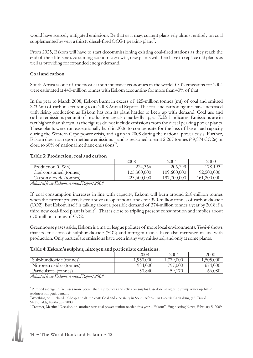would have scarcely mitigated emissions. Be that as it may, current plans rely almost entirely on coal supplemented by very a thirsty diesel-fired OCGT peaking plant<sup>25</sup>.

From 2025, Eskom will have to start decommissioning existing coal-fired stations as they reach the end of their life-span. Assuming economic growth, new plants will then have to replace old plants as well as providing for expanded energy demand.

#### **Coal and carbon**

South Africa is one of the most carbon intensive economies in the world. CO2 emissions for 2004 were estimated at 440-million tonnes with Eskom accounting for more than 40% of that.

In the year to March 2008, Eskom burnt in excess of 125-million tonnes (mt) of coal and emitted 223.6mt of carbon according to its 2008 Annual Report. The coal and carbon figures have increased with rising production as Eskom has run its plant harder to keep up with demand. Coal use and carbon emissions per unit of production are also markedly up, as *Table 3* indicates. Emissions are in fact higher than shown, as the figures do not include emissions from the diesel peaking power plants. These plants were run exceptionally hard in 2006 to compensate for the loss of base-load capacity during the Western Cape power crisis, and again in 2008 during the national power crisis. Further, Eskom does not report methane emissions – and is reckoned to emit 2,267 tonnes (49,874 CO2e) or close to  $60\%$  of national methane emissions<sup>26</sup>.

#### **Table 3: Production, coal and carbon**

| 2004        | 2000        |
|-------------|-------------|
| 206,799     | 178,193     |
| 109,600,000 | 92,500,000  |
| 197,700,000 | 161,200,000 |
|             |             |

*Adapted from Eskom Annual Report 2008*

If coal consumption increases in line with capacity, Eskom will burn around 218-million tonnes when the current projects listed above are operational and emit 390-million tonnes of carbon dioxide (CO2). But Eskom itself is talking about a possible demand of 374-million tonnes a year by 2018 if a third new coal-fired plant is built<sup>27</sup>. That is close to tripling present consumption and implies about 670-million tonnes of CO2.

Greenhouse gases aside, Eskom is a major league polluter of more local environments. *Table 4* shows that its emissions of sulphur dioxide (SO2) and nitrogen oxides have also increased in line with production. Only particulate emissions have been in any way mitigated, and only at some plants.

#### **Table 4: Eskom's sulphur, nitrogen and particulate emissions.**

|                           | 2008     | 2004    | 2000     |
|---------------------------|----------|---------|----------|
| Sulphur dioxide (tonnes)  | ,950,000 | 779,000 | .505,000 |
| Nitrogen oxides (tonnes)  | 984.000  | 797,000 | 674,000  |
| Particulates (tonnes)     | 50,840   | 59 170  | 66,080   |
| ____<br>$-$<br>_____<br>. |          |         |          |

*Adapted from Eskom Annual Report 2008*

<sup>25</sup>Pumped storage in fact uses more power than it produces and relies on surplus base-load at night to pump water up hill in readiness for peak demand.

<sup>26</sup>Worthington, Richard: "Cheap at half the cost: Coal and electricity in South Africa", in Electric Capitalism, (ed: David McDonald), Earthscan. 2008.

<sup>27</sup>Creamer, Martin: "Decision on another new coal power station needed this year – Eskom", Engineering News, February 5, 2009.

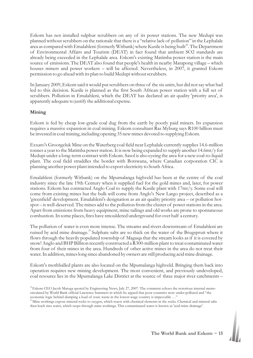Eskom has not installed sulphur scrubbers on any of its power stations. The new Medupi was planned without scrubbers on the rationale that there is a "relative lack of pollution" in the Lephalale area as compared with Emalahleni (formerly Witbank) where Kusile is being built<sup>28</sup>. The Department of Environmental Affairs and Tourism (DEAT) in fact found that ambient SO2 standards are already being exceeded in the Lephalale area. Eskom's existing Matimba power station is the main source of emissions. The DEAT also found that people's health in nearby Marapong village – which houses miners and power workers – will be affected. Nevertheless, in 2007, it granted Eskom permission to go ahead with its plan to build Medupi without scrubbers.

In January 2009, Eskom said it would put scrubbers on three of the six units, but did not say what had led to this decision. Kusile is planned as the first South African power station with a full set of scrubbers. Pollution in Emalahleni, which the DEAT has declared an air quality 'priority area', is apparently adequate to justify the additional expense.

#### **Mining**

Eskom is fed by cheap low-grade coal dug from the earth by poorly paid miners. Its expansion requires a massive expansion in coal mining. Eskom consultant Ras Myburg says R100 billion must be invested in coal mining, including opening 35 new mines devoted to supplying Eskom.

Exxaro's Grootgeluk Mine on the Waterberg coal field near Lephalale currently supplies 14.6-million tonnes a year to the Matimba power station. It is now being expanded to supply another 14.6mt/y for Medupi under a long-term contract with Eskom. Sasol is also eyeing the area for a new coal-to-liquid plant. The coal field straddles the border with Botswana, where Canadian corporation CIC is planning another power plant intended to export electricity to South Africa.

Emalahleni (formerly Witbank) on the Mpumalanga highveld has been at the centre of the coal industry since the late 19th Century when it supplied fuel for the gold mines and, later, for power stations. Eskom has contracted Anglo Coal to supply the Kusile plant with 17mt/y. Some coal will come from existing mines but the bulk will come from Anglo's New Largo project, described as a 'greenfield' development. Emalahleni's designation as an air quality priority area – or pollution hotspot – is well-deserved. The mines add to the pollution from the cluster of power stations in the area. Apart from emissions from heavy equipment, mine tailings and old works are prone to spontaneous combustion. In some places, fires have smouldered underground for over half a century.

The pollution of water is even more intense. The streams and rivers downstream of Emalahleni are ruined by acid mine drainage.<sup>29</sup> Sulphate salts are so thick on the water of the Brugspruit where it flows through the heavily populated township of Maguqa that the stream looks as if it is covered by snow! Anglo and BHP Billiton recently constructed a R300-million plant to treat contaminated water from four of their mines in the area. Hundreds of other active mines in the area do not treat their water. In addition, mines long since abandoned by owners are still producing acid mine drainage.

Eskom's mothballed plants are also located on the Mpumalanga highveld. Bringing them back into operation requires new mining development. The most convenient, and previously undeveloped, coal resource lies in the Mpumalanga Lake District at the source of three major river catchments –

<sup>&</sup>lt;sup>28</sup> Eskom CEO Jacob Maroga quoted by Engineering News, July 27, 2007. The comment echoes the notorious internal memo circulated by World Bank official Lawrence Summers in which he argued that poor countries were under-polluted and "the economic logic behind dumping a load of toxic waste in the lowest-wage country is impeccable …"

 $^{29}$ Mine workings expose mineral rocks to oxygen, which reacts with chemical elements in the rocks. Chemical and mineral salts then leach into water, which seeps through mine workings. This contaminated water is known as 'acid mine drainage'.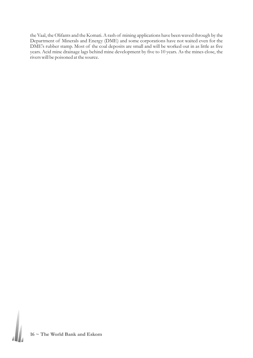the Vaal, the Olifants and the Komati. A rash of mining applications have been waved through by the Department of Minerals and Energy (DME) and some corporations have not waited even for the DME's rubber stamp. Most of the coal deposits are small and will be worked out in as little as five years. Acid mine drainage lags behind mine development by five to 10 years. As the mines close, the rivers will be poisoned at the source.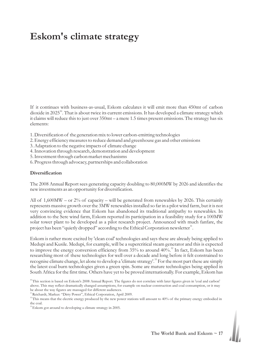### **Eskom's climate strategy**

If it continues with business-as-usual, Eskom calculates it will emit more than 450mt of carbon dioxide in  $2025<sup>30</sup>$ . That is about twice its current emissions. It has developed a climate strategy which it claims will reduce this to just over 350mt – a mere 1.5 times present emissions. The strategy has six elements:

- 1. Diversification of the generation mix to lower carbon-emitting technologies
- 2. Energy efficiency measures to reduce demand and greenhouse gas and other emissions
- 3. Adaptation to the negative impacts of climate change
- 4. Innovation through research, demonstration and development
- 5. Investment through carbon market mechanisms
- 6. Progress through advocacy, partnerships and collaboration

#### **Diversification**

The 2008 Annual Report sees generating capacity doubling to 80,000MW by 2026 and identifies the new investments as an opportunity for diversification.

All of 1,600MW – or 2% of capacity – will be generated from renewables by 2026. This certainly represents massive growth over the 3MW renewables installed so far in a pilot wind farm, but it is not very convincing evidence that Eskom has abandoned its traditional antipathy to renewables. In addition to the Sere wind farm, Eskom reported its participation in a feasibility study for a 100MW solar tower plant to be developed as a pilot research project. Announced with much fanfare, the project has been "quietly dropped" according to the Ethical Corporation newsletter".

Eskom is rather more excited by 'clean coal' technologies and says these are already being applied to Medupi and Kusile. Medupi, for example, will be a supercritical steam generator and this is expected to improve the energy conversion efficiency from 35% to around 40%.<sup>32</sup> In fact, Eskom has been researching most of these technologies for well over a decade and long before it felt constrained to <sup>33</sup> recognise climate change, let alone to develop a 'climate strategy'. For the most part these are simply the latest coal burn technologies given a green spin. Some are mature technologies being applied in South Africa for the first time. Others have yet to be proved internationally. For example, Eskom has

<sup>&</sup>lt;sup>30</sup>This section is based on Eskom's 2008 Annual Report. The figures do not correlate with later figures given in 'coal and carbon' above. This may reflect dramatically changed assumptions, for example on nuclear construction and coal consumption, or it may be about the way figures are massaged for different audiences.

<sup>&</sup>lt;sup>31</sup> Reichardt, Markus: "Dirty Power", Ethical Corporation, April 2009.

<sup>&</sup>lt;sup>32</sup>This means that the electric energy produced by the new power stations will amount to 40% of the primary energy embodied in the coal.

<sup>&</sup>lt;sup>33</sup>Eskom got around to developing a climate strategy in 2005.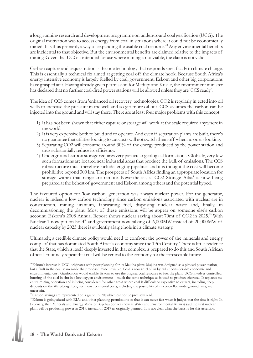a long running research and development programme on underground coal gasification (UCG). The original motivation was to access energy from coal in situations where it could not be economically mined. It is thus primarily a way of expanding the usable coal resource.<sup> $34$ </sup> Any environmental benefits are incidental to that objective. But the environmental benefits are claimed relative to the impacts of mining. Given that UCG is intended for use where mining is not viable, the claim is not valid.

Carbon capture and sequestration is the one technology that responds specifically to climate change. This is essentially a technical fix aimed at getting coal off the climate hook. Because South Africa's energy intensive economy is largely fuelled by coal, government, Eskom and other big corporations have grasped at it. Having already given permission for Medupi and Kusile, the environment minister has declared that no further coal-fired power stations will be allowed unless they are 'CCS ready'.

The idea of CCS comes from 'enhanced oil recovery' technologies: CO2 is regularly injected into oil wells to increase the pressure in the well and so get more oil out. CCS assumes the carbon can be injected into the ground and will stay there. There are at least four major problems with this concept:

- 1) It has not been shown that either capture or storage will work at the scale required anywhere in the world.
- 2) It is very expensive both to build and to operate. And even if separation plants are built, there's no guarantee that utilities looking to cut costs will not switch them off when no one is looking.
- 3) Separating CO2 will consume around 30% of the energy produced by the power station and thus substantially reduce its efficiency.
- 4) Underground carbon storage requires very particular geological formations. Globally, very few such formations are located near industrial areas that produce the bulk of emissions. The CCS infrastructure must therefore include lengthy pipelines and it is thought the cost will become prohibitive beyond 300 km. The prospects of South Africa finding an appropriate location for storage within that range are remote. Nevertheless, a 'CO2 Storage Atlas' is now being prepared at the behest of government and Eskom among others and the potential hyped.

The favoured option for 'low carbon' generation was always nuclear power. For the generator, nuclear is indeed a low carbon technology since carbon emissions associated with nuclear are in construction, mining uranium, fabricating fuel, disposing nuclear waste and, finally, in decommissioning the plant. Most of these emissions will be appear on someone else's carbon account. Eskom's 2008 Annual Report shows nuclear saving about 70mt of CO2 in 2025.<sup>35</sup> With Nuclear 1 now put on hold<sup>36</sup> and government now talking of 6,000MW instead of 20,000MW of nuclear capacity by 2025 there is evidently a large hole in its climate strategy.

Ultimately, a credible climate policy would need to confront the power of the 'minerals and energy complex' that has dominated South Africa's economy since the 19th Century. There is little evidence that the State, which is itself deeply invested in that complex, is prepared to do this and South African officials routinely repeat that coal will be central to the economy for the foreseeable future.



<sup>&</sup>lt;sup>34</sup>Eskom's interest in UCG originates with poor planning for its Majuba plant. Majuba was designed as a pithead power station, but a fault in the coal seam made the proposed mine unviable. Coal is now trucked in by rail at considerable economic and environmental cost. Gasification would enable Eskom to use the original coal resource to fuel the plant. UCG involves controlled burning of the coal in situ in a low oxygen environment – much the same technique as is used to produce charcoal. It replaces the entire mining operation and is being considered for other areas where coal is difficult or expensive to extract, including deep deposits on the Waterberg. Long term environmental costs, including the possibility of uncontrolled underground fires, are uncertain.

<sup>&</sup>lt;sup>35</sup>Carbon savings are represented on a graph [p. 70] which cannot be precisely read.

<sup>&</sup>lt;sup>36</sup> Eskom is going ahead with EIAs and other planning permissions so that it can move fast when it judges that the time is right. In February, then Minerals and Energy Minister Buyelwa Sonjica (now at Water and Environmental Affairs) said the first nuclear plant will be producing power in 2019, instead of 2017 as originally planned. It is not clear what the basis is for this assertion.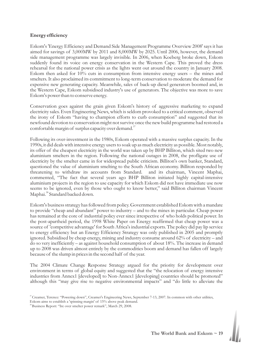#### **Energy efficiency**

Eskom's 'Energy Efficiency and Demand Side Management Programme Overview 2008' says it has aimed for savings of 3,000MW by 2011 and 8,000MW by 2025. Until 2006, however, the demand side management programme was largely invisible. In 2006, when Koeberg broke down, Eskom suddenly found its voice on energy conservation in the Western Cape. This proved the dress rehearsal for the national power crisis as the lights went out around the country in January 2008. Eskom then asked for  $10\%$  cuts in consumption from intensive energy users – the mines and smelters. It also proclaimed its commitment to long-term conservation to moderate the demand for expensive new generating capacity. Meanwhile, sales of back-up diesel generators boomed and, in the Western Cape, Eskom subsidised industry's use of generators. The objective was more to save Eskom's power than to conserve energy.

Conservation goes against the grain given Eskom's history of aggressive marketing to expand electricity sales. Even Engineering News, which is seldom provoked to a critical comment, observed the irony of Eskom "having to champion efforts to curb consumption" and suggested that its newfound devotion to conservation might not survive once the new build programme had restored a comfortable margin of surplus capacity over demand.<sup>37</sup>

Following its over-investment in the 1980s, Eskom operated with a massive surplus capacity. In the 1990s, it did deals with intensive energy users to soak up as much electricity as possible. Most notably, its offer of the cheapest electricity in the world was taken up by BHP Billiton, which sited two new aluminium smelters in the region. Following the national outages in 2008, the profligate use of electricity by the smelter came in for widespread public criticism. Billiton's own banker, Standard, questioned the value of aluminium smelting to the South African economy. Billiton responded by threatening to withdraw its accounts from Standard. and its chairman, Vincent Maphai, commented, "The fact that several years ago BHP Billiton initiated highly capital-intensive aluminium projects in the region to use capacity for which Eskom did not have immediate use now seems to be ignored, even by those who ought to know better," said Billiton chairman Vincent Maphai.<sup>38</sup> Standard backed down.

Eskom's business strategy has followed from policy. Government established Eskom with a mandate to provide "cheap and abundant" power to industry – and to the mines in particular. Cheap power has remained at the core of industrial policy ever since irrespective of who holds political power. In the post-apartheid period, the 1998 White Paper on Energy reaffirmed that cheap power was a source of 'competitive advantage' for South Africa's industrial exports. The policy did pay lip service to energy efficiency but an Energy Efficiency Strategy was only published in 2005 and promptly ignored. Subsidised by cheap energy, mining and industry consume around 62% of electricity – and do so very inefficiently – as against household consumption of about 18%. The increase in demand up to 2008 was driven almost entirely by the commodities boom and demand has fallen off largely because of the slump in prices in the second half of the year.

The 2004 Climate Change Response Strategy argued for the priority for development over environment in terms of global equity and suggested that the "the relocation of energy intensive industries from Annex1 [developed] to Non-Annex1 [developing] countries should be promoted" although this "may give rise to negative environmental impacts" and "do little to alleviate the

<sup>&</sup>lt;sup>37</sup> Creamer, Terence: "Powering down", Creamer's Engineering News, September 7-13, 2007. In common with other utilities,

Eskom aims to establish a 'spinning margin' of 15% above peak demand.

<sup>&</sup>lt;sup>38</sup>Business Report: "Ire over smelter power remark", March 29, 2008.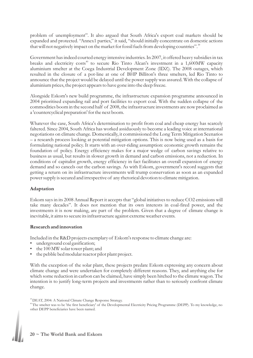problem of unemployment". It also argued that South Africa's export coal markets should be expanded and protected. "Annex1 parties," it said, "should initially concentrate on domestic actions that will not negatively impact on the market for fossil fuels from developing countries".<sup>39</sup>

Government has indeed courted energy intensive industries. In 2007, it offered heavy subsidies in tax breaks and electricity  $cost<sup>40</sup>$  to secure Rio Tinto Alcan's investment in a 1,600MW capacity aluminium smelter at the Coega Industrial Development Zone (IDZ). The 2008 outages, which resulted in the closure of a pot-line at one of BHP Billiton's three smelters, led Rio Tinto to announce that the project would be delayed until the power supply was assured. With the collapse of aluminium prices, the project appears to have gone into the deep freeze.

Alongside Eskom's new build programme, the infrastructure expansion programme announced in 2004 prioritised expanding rail and port facilities to export coal. With the sudden collapse of the commodities boom in the second half of 2008, the infrastructure investments are now proclaimed as a 'countercyclical preparation' for the next boom.

Whatever the case, South Africa's determination to profit from coal and cheap energy has scarcely faltered. Since 2004, South Africa has worked assiduously to become a leading voice at international negotiations on climate change. Domestically, it commissioned the Long Term Mitigation Scenarios – a research process looking at potential mitigation options. This is now being used as a basis for formulating national policy. It starts with an over-riding assumption: economic growth remains the foundation of policy. Energy efficiency makes for a major wedge of carbon savings relative to business as usual, but results in slower growth in demand and carbon emissions, not a reduction. In conditions of capitalist growth, energy efficiency in fact facilitates an overall expansion of energy demand and so cancels out the carbon savings. As with Eskom, government's record suggests that getting a return on its infrastructure investments will trump conservation as soon as an expanded power supply is secured and irrespective of any rhetorical devotion to climate mitigation.

#### **Adaptation**

Eskom says in its 2008 Annual Report it accepts that "global initiatives to reduce CO2 emissions will take many decades". It does not mention that its own interests in coal-fired power, and the investments it is now making, are part of the problem. Given that a degree of climate change is inevitable, it aims to secure its infrastructure against extreme weather events.

#### **Research and innovation**

Included in the R&D projects exemplary of Eskom's response to climate change are:

- underground coal gasification;
- the 100 MW solar tower plant; and
- the pebble bed modular reactor pilot plant project.

With the exception of the solar plant, these projects predate Eskom expressing any concern about climate change and were undertaken for completely different reasons. They, and anything else for which some reduction in carbon can be claimed, have simply been hitched to the climate wagon. The intention is to justify long-term projects and investments rather than to seriously confront climate change.



<sup>&</sup>lt;sup>39</sup> DEAT, 2004: A National Climate Change Response Strategy.

<sup>&</sup>lt;sup>40</sup>The smelter was to be 'the first beneficiary' of the Developmental Electricity Pricing Programme (DEPP). To my knowledge, no other DEPP beneficiaries have been named.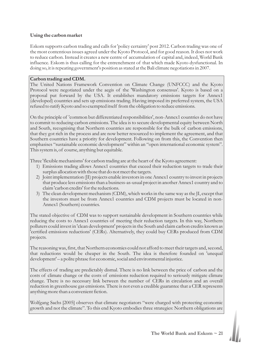#### **Using the carbon market**

Eskom supports carbon trading and calls for 'policy certainty' post 2012. Carbon trading was one of the most contentious issues agreed under the Kyoto Protocol, and for good reason. It does not work to reduce carbon. Instead it creates a new centre of accumulation of capital and, indeed, World Bank influence. Eskom is thus calling for the entrenchment of that which made Kyoto dysfunctional. In doing so, it is repeating government's position as stated at the Bali climate negotiations in 2007.

#### **Carbon trading and CDM.**

The United Nations Framework Convention on Climate Change (UNFCCC) and the Kyoto Protocol were negotiated under the aegis of the 'Washington consensus'. Kyoto is based on a proposal put forward by the USA. It establishes mandatory emissions targets for Annex1 (developed) countries and sets up emissions trading. Having imposed its preferred system, the USA refused to ratify Kyoto and so exempted itself from the obligation to reduce emissions.

On the principle of 'common but differentiated responsibilities', non-Annex1 countries do not have to commit to reducing carbon emissions. The idea is to secure developmental equity between North and South, recognising that Northern countries are responsible for the bulk of carbon emissions, that they got rich in the process and are now better resourced to implement the agreement, and that Southern countries have a priority for development. Following on from this, the Convention then emphasises "sustainable economic development" within an "open international economic system". This system is, of course, anything but equitable.

Three 'flexible mechanisms' for carbon trading are at the heart of the Kyoto agreement:

- 1) Emissions trading allows Annex1 countries that exceed their reduction targets to trade their surplus allocation with those that do not meet the targets.
- 2) Joint implementation (JI) projects enable investors in one Annex1 country to invest in projects that produce less emissions than a business-as-usual project in another Annex1 country and to claim 'carbon credits' for the reductions.
- 3) The clean development mechanism (CDM), which works in the same way as the JI, except that the investors must be from Annex1 countries and CDM projects must be located in non-Annex1 (Southern) countries.

The stated objective of CDM was to support sustainable development in Southern countries while reducing the costs to Annex1 countries of meeting their reduction targets. In this way, Northern polluters could invest in 'clean development' projects in the South and claim carbon credits known as 'certified emissions reductions' (CERs). Alternatively, they could buy CERs produced from CDM projects.

The reasoning was, first, that Northern economies could not afford to meet their targets and, second, that reductions would be cheaper in the South. The idea is therefore founded on 'unequal development' – a polite phrase for economic, social and environmental injustice.

The effects of trading are predictably dismal. There is no link between the price of carbon and the costs of climate change or the costs of emissions reduction required to seriously mitigate climate change. There is no necessary link between the number of CERs in circulation and an overall reduction in greenhouse gas emissions. There is not even a credible guarantee that a CER represents anything more than a convenient fiction.

Wolfgang Sachs [2005] observes that climate negotiators "were charged with protecting economic growth and not the climate". To this end Kyoto embodies three strategies: Northern obligations are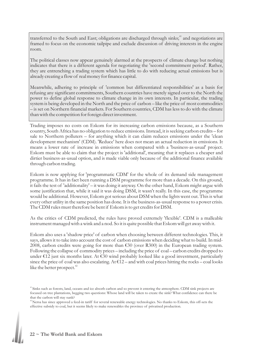transferred to the South and East; obligations are discharged through sinks;<sup>41</sup> and negotiations are framed to focus on the economic tailpipe and exclude discussion of driving interests in the engine room.

The political classes now appear genuinely alarmed at the prospects of climate change but nothing indicates that there is a different agenda for negotiating the 'second commitment period'. Rather, they are entrenching a trading system which has little to do with reducing actual emissions but is already creating a flow of real money for finance capital.

Meanwhile, adhering to principle of 'common but differentiated responsibilities' as a basis for refusing any significant commitments, Southern countries have merely signed over to the North the power to define global response to climate change in its own interests. In particular, the trading system is being developed in the North and the price of carbon – like the price of most commodities – is set on Northern financial markets. For Southern countries, CDM has less to do with the climate than with the competition for foreign direct investment.

Trading imposes no costs on Eskom for its increasing carbon emissions because, as a Southern country, South Africa has no obligation to reduce emissions. Instead, it is seeking carbon credits – for sale to Northern polluters – for anything which it can claim reduces emissions under the 'clean development mechanism' (CDM). 'Reduce' here does not mean an actual reduction in emissions. It means a lower rate of increase in emissions when compared with a 'business-as-usual' project. Eskom must be able to claim that the project is 'additional', meaning that it replaces a cheaper and dirtier business-as-usual option, and is made viable only because of the additional finance available through carbon trading.

Eskom is now applying for 'programmatic CDM' for the whole of its demand side management programme. It has in fact been running a DSM programme for more than a decade. On this ground, it fails the test of 'additionality' – it was doing it anyway. On the other hand, Eskom might argue with some justification that, while it said it was doing DSM, it wasn't really. In this case, the programme would be additional. However, Eskom got serious about DSM when the lights went out. This is what every other utility in the same position has done. It is the business-as-usual response to a power crisis. The CDM rules must therefore be bent if Eskom is to get credits for DSM.

As the critics of CDM predicted, the rules have proved extremely 'flexible'. CDM is a malleable instrument managed with a wink and a nod. So it is quite possible that Eskom will get away with it.

Eskom also uses a 'shadow price' of carbon when choosing between different technologies. This, it says, allows it to take into account the cost of carbon emissions when deciding what to build. In mid-2008, carbon credits were going for more than  $\epsilon$ 30 (over R300) in the European trading system. Following the collapse of commodity prices – including the price of coal – carbon credits dropped to under  $\epsilon$ 12 just six months later. At  $\epsilon$ 30 wind probably looked like a good investment, particularly since the price of coal was also escalating. At  $\epsilon$ 12 – and with coal prices hitting the rocks – coal looks like the better prospect. $42$ 



<sup>&</sup>lt;sup>41</sup> Sinks such as forests, land, oceans and ice absorb carbon and so prevent it entering the atmosphere. CDM sink projects are focused on tree plantations, begging two questions: Whose land will be taken to create the sink? What confidence can there be that the carbon will stay sunk?

<sup>&</sup>lt;sup>42</sup>Nersa has since approved a feed-in tariff for several renewable energy technologies. No thanks to Eskom, this off-sets the effective subsidy to coal, but it seems likely to make renewables the province of privatised production.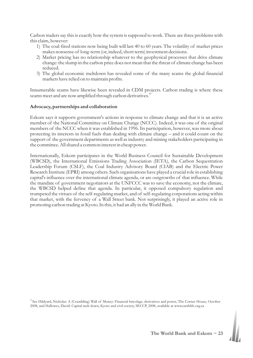Carbon traders say this is exactly how the system is supposed to work. There are three problems with this claim, however:

- 1) The coal-fired stations now being built will last 40 to 60 years. The volatility of market prices makes nonsense of long-term (or, indeed, short term) investment decisions.
- 2) Market pricing has no relationship whatever to the geophysical processes that drive climate change: the slump in the carbon price does not mean that the threat of climate change has been reduced.
- 3) The global economic meltdown has revealed some of the many scams the global financial markets have relied on to maintain profits.

Innumerable scams have likewise been revealed in CDM projects. Carbon trading is where these scams meet and are now amplified through carbon derivatives.<sup>43</sup>

#### **Advocacy, partnerships and collaboration**

Eskom says it supports government's actions in response to climate change and that it is an active member of the National Committee on Climate Change (NCCC). Indeed, it was one of the original members of the NCCC when it was established in 1996. Its participation, however, was more about protecting its interests in fossil fuels than dealing with climate change – and it could count on the support of the government departments as well as industry and mining stakeholders participating in the committee. All shared a common interest in cheap power.

Internationally, Eskom participates in the World Business Council for Sustainable Development (WBCSD), the International Emissions Trading Association (IETA), the Carbon Sequestration Leadership Forum (CSLF), the Coal Industry Advisory Board (CIAB) and the Electric Power Research Institute (EPRI) among others. Such organisations have played a crucial role in establishing capital's influence over the international climate agenda, or are outgrowths of that influence. While the mandate of government negotiators at the UNFCCC was to save the economy, not the climate, the WBCSD helped define that agenda. In particular, it opposed compulsory regulation and trumpeted the virtues of the self-regulating market, and of self-regulating corporations acting within that market, with the fervency of a Wall Street bank. Not surprisingly, it played an active role in promoting carbon trading at Kyoto. In this, it had an ally in the World Bank.

<sup>43</sup>See Hildyard, Nicholas: A (Crumbling) Wall of Money: Financial bricolage, derivatives and power, The Corner House, October 2008, and Hallowes, David: Capital melt down, Kyoto and civil society, SECCP, 2008, available at www.earthlife.org.za

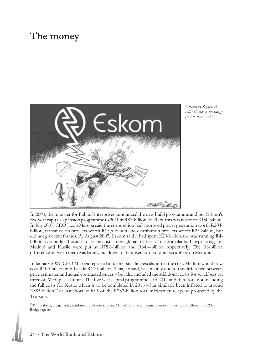### **The money**



*Cartoon by Zapiro: A satirical view of the energy price increase in 2003*

In 2004, the minister for Public Enterprises announced the new build programme and put Eskom's five year capital expansion programme to 2010 at R87-billion. In 2005, this was raised to R150 billion. In July 2007, CEO Jacob Maroga said the corporation had approved power generation worth R204 billion, transmission projects worth R15,5-billion and distribution projects worth R25-billion, but did not give timeframes. By August 2007, Eskom said it had spent R20-billion and was running R4 billion over budget because of rising costs in the global market for electric plants. The price tags on Medupi and Kusile were put at R78.6-billion and R84.4-billion respectively. The R6-billion difference between them was largely put down to the absence of sulphur scrubbers on Medupi.

In January 2009, CEO Maroga reported a further startling escalation in the cost. Medupi would now cost R100-billion and Kusile R110-billion. This, he said, was mainly due to the difference between price estimates and actual contracted prices – but also included the additional costs for scrubbers on three of Medupi's six units. The five year capital programme – to 2014 and therefore not including the full costs for Kusile which is to be completed in 2016 – has similarly been inflated to around R385 billion,<sup>44</sup> or just short of half of the R787-billion total infrastructure spend projected by the Treasury.

<sup>44</sup>This is the figure generally attributed to Eskom sources. Manuel put it at a marginally more modest R356-billion in the 2009 Budget speech.

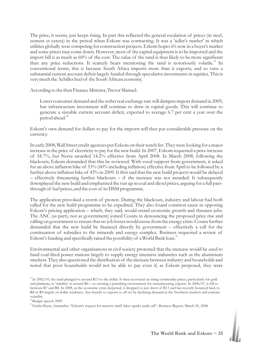The price, it seems, just keeps rising. In part this reflected the general escalation of prices (in steel, cement et cetera) in the period when Eskom was contracting. It was a 'seller's market' in which utilities globally were competing for construction projects. Eskom hopes it's now in a buyer's market and some prices may come down. However, most of the capital equipment is to be imported and the import bill is as much as 60% of the cost. The value of the rand is thus likely to be more significant than any price reductions. It scarcely bears mentioning the rand is notoriously volatile.<sup>45</sup> In conventional terms, this is because South Africa imports more than it exports, and so runs a substantial current account deficit largely funded through speculative investments in equities. This is very much the Achilles heel of the South African economy.

According to the then Finance Minister, Trevor Manuel:

Lower consumer demand and the softer real exchange rate will dampen import demand in 2009, but infrastructure investment will continue to draw in capital goods. This will continue to generate a sizeable current account deficit, expected to average 6.7 per cent a year over the period ahead.<sup>46</sup>

Eskom's own demand for dollars to pay for the imports will thus put considerable pressure on the currency.

In early 2008, Wall Street credit agencies put Eskom on their watch list. They were looking for a major increase in the price of electricity to pay for the new build. In 2007, Eskom requested a price increase of 18.7%, but Nersa awarded 14.2% effective from April 2008. In March 2008, following the blackouts, Eskom demanded that this be reviewed. With vocal support from government, it asked for an above inflation hike of 53% (60% including inflation) effective from April to be followed by a further above inflation hike of 43% in 2009. It first said that the new build projects would be delayed – effectively threatening further blackouts – if the increase was not awarded. It subsequently downplayed the new build and emphasised the run up in coal and diesel prices, arguing for a full passthrough of fuel prices, and the cost of its DSM programme.

The application provoked a storm of protest. During the blackouts, industry and labour had both called for the new build programme to be expedited. They also found common cause in opposing Eskom's pricing application – which, they said, would retard economic growth and threaten jobs. The ANC (as party, not as government) joined Cosatu in denouncing the proposed price rise and calling on government to ensure that no job losses would ensue from the energy crisis. Cosatu further demanded that the new build be financed directly by government – effectively a call for the continuation of subsidies to the minerals and energy complex. Business requested a review of Eskom's funding and specifically raised the possibility of a World Bank loan.<sup>47</sup>

Environmental and other organisations in civil society protested that the increase would be used to fund coal-fired power stations largely to supply energy intensive industries such as the aluminium smelters. They also questioned the distribution of the increase between industry and households and noted that poor households would not be able to pay even if, as Eskom proposed, they were

 $45$ In 2002/03, the rand plunged to around R13 to the dollar. It then recovered on rising commodity prices, particularly for gold and platinum, to 'stabilise' at around R6 – so creating a punishing environment for manufacturing exports. In 2006/07, it fell to between R7 and R8. In 2008, as the economic crisis deepened, it dropped to just short of R11 and has recently bounced back to R8 or R9 largely on dollar weakness. Any benefit to exports is off-set by declining demand in the Northern markets and extreme volatility.

<sup>&</sup>lt;sup>46</sup>Budget speech 2009.

<sup>47</sup>Enslin-Payne, Samantha: "Eskom's request for massive tariff hikes sparks audit call", Business Report, March 20, 2008.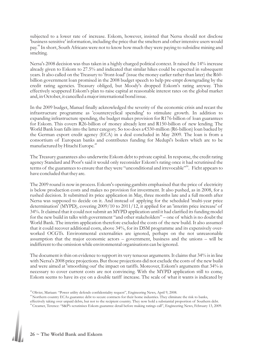subjected to a lower rate of increase. Eskom, however, insisted that Nersa should not disclose 'business sensitive' information, including the price that the smelters and other intensive users would pay.<sup>48</sup> In short, South Africans were not to know how much they were paying to subsidise mining and smelting.

Nersa's 2008 decision was thus taken in a highly charged political context. It raised the 14% increase already given to Eskom to 27.5% and indicated that similar hikes could be expected in subsequent years. It also called on the Treasury to 'front-load' (issue the money earlier rather than later) the R60 billion government loan promised in the 2008 budget speech to help pre-empt downgrading by the credit rating agencies. Treasury obliged, but Moody's dropped Eskom's rating anyway. This effectively scuppered Eskom's plan to raise capital at reasonable interest rates on the global market and, in October, it cancelled a major international bond issue.

In the 2009 budget, Manuel finally acknowledged the severity of the economic crisis and recast the infrastructure programme as 'countercyclical spending' to stimulate growth. In addition to expanding infrastructure spending, the budget makes provision for R176-billion of loan guarantees for Eskom. This covers R26-billion of money already lent and R150-billion of new lending. The World Bank loan falls into the latter category. So too does a €530-million (R6-billion) loan backed by the German export credit agency (ECA) in a deal concluded in May 2009. The loan is from a consortium of European banks and contributes funding for Medupi's boilers which are to be manufactured by Hitachi Europe.<sup>49</sup>

The Treasury guarantees also underwrite Eskom debt to private capital. In response, the credit rating agency Standard and Poor's said it would only reconsider Eskom's rating once it had scrutinised the terms of the guarantees to ensure that they were "unconditional and irrevocable". Ficht appears to have concluded that they are.

The 2009 round is now in process. Eskom's opening gambits emphasised that the price of electricity is below production costs and makes no provision for investment. It also pushed, as in 2008, for a rushed decision. It submitted its price application in May, three months late and a full month after Nersa was supposed to decide on it. And instead of applying for the scheduled 'multi-year price determination' (MYPD), covering 2009/10 to 2011/12, it applied for an 'interim price increase' of 34%. It claimed that it could not submit an MYPD application until it had clarified its funding model for the new build in talks with government "and other stakeholders" – one of which is no doubt the World Bank. The interim application therefore excluded the costs of the new build. It also assumed that it could recover additional costs, above 34%, for its DSM programme and its expensively overworked OCGTs. Environmental externalities are ignored, perhaps on the not unreasonable assumption that the major economic actors – government, business and the unions – will be indifferent to the omission while environmental organisations can be ignored.

The document is thin on evidence to support its very tenuous arguments. It claims that 34% is in line with Nersa's 2008 price projections. But those projections did not exclude the costs of the new build and were aimed at 'smoothing out' the impact on tariffs. Moreover, Eskom's arguments that 34% is necessary to cover current costs are not convincing. With the MYPD application still to come, Eskom seems to have its eye on a double tariff increase. The scale of what it wants is indicated by

<sup>49</sup>Northern country ECAs guarantee debt to secure contracts for their home industries. They eliminate the risk to banks, effectively taking over unpaid debts, but not to the recipient country. They now hold a substantial proportion of Southern debt. <sup>50</sup> Creamer, Terence: "S&P's scrutinises Eskom guarantee detail before making ratings call", Engineering News, February 13, 2009.



<sup>48</sup>Olivier, Mariaan: "Power utility defends confidentiality request", Engineering News, April 9, 2008.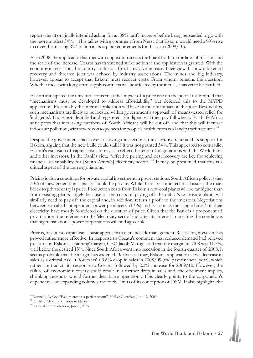reports that it originally intended asking for an 88% tariff increase before being persuaded to go with the more modest 34%.<sup>51</sup> This tallies with a comment from Nersa that Eskom would need a 90% rise to cover the missing R27-billion in its capital requirements for this year (2009/10).

As in 2008, the application has met with opposition across the board both for the late submission and the scale of the increase. Cosatu has threatened strike action if the application is granted. With the economy in recession, the country could not afford a massive increase. Their view that it would retard recovery and threaten jobs was echoed by industry associations. The mines and big industry, however, appear to accept that Eskom must recover costs. From whom, remains the question. Whether those with long-term supply contracts will be affected by the increase has yet to be clarified.

Eskom anticipated the universal concern at the impact of a price rise on the poor. It submitted that "mechanisms must be developed to address affordability" but deferred this to the MYPD application. Presumably the interim application will have an interim impact on the poor. Beyond this, such mechanisms are likely to be located within government's approach of means-tested relief for 'indigents'. Those not identified and registered as indigent will then pay full whack. Earthlife Africa anticipates that increasing numbers of South Africans will be cut off and that this will increase indoor air pollution, with severe consequences for people's health, from coal and paraffin sources. $52$ 

Despite the government make-over following the elections, the executive reiterated its support for Eskom, arguing that the new build could stall if it was not granted 34%. This appeared to contradict Eskom's exclusion of capital costs. It may also reflect the tenor of negotiations with the World Bank and other investors. In the Bank's view, "effective pricing and cost recovery are key for achieving financial sustainability for [South Africa's] electricity sector".<sup>53</sup> It may be presumed that this is a critical aspect of the loan negotiations.

Pricing is also a condition for private capital investment in power stations. South African policy is that 30% of new generating capacity should be private. While there are some technical issues, the main block to private entry is price. Production costs from Eskom's new coal plants will be far higher than from existing plants largely because of the costs of paying off the debt. New private plants will similarly need to pay off the capital and, in addition, return a profit to the investors. Negotiations between so-called 'independent power producers' (IPPs) and Eskom, as the 'single buyer' of their electricity, have mostly foundered on the question of price. Given that the Bank is a proponent of privatisation, the reference to the 'electricity sector' indicates its interest in creating the conditions that big transnational power corporations will find agreeable.

Price is, of course, capitalism's basic approach to demand side management. Recession, however, has proved rather more effective. In response to Cosatu's comment that reduced demand had relieved pressure on Eskom's 'spinning' margin, CEO Jacob Maroga said that the margin in 2008 was 11.5%, well below the desired 15%. Since South Africa went into recession in the fourth quarter of 2008, it seems probable that the margin has widened. Be that as it may, Eskom's application sees a decrease in sales as a critical risk. It 'forecasts' a 3.6% drop in sales in 2008/09 (the past financial year), which rather contradicts its response to Cosatu, followed by 2.3% increase for 2009/10. However, the failure of economic recovery could result in a further drop in sales and, the document implies, shrinking revenues would further destabilise operations. This clearly points to the corporation's dependence on expanding volumes and to the limits of its conception of DSM. It also highlights the

<sup>&</sup>lt;sup>51</sup> Donnelly, Lynley: "Eskom creates a perfect storm", Mail & Guardian, June 12, 2009.

<sup>&</sup>lt;sup>52</sup> Earthlife Africa submission to Nersa.

<sup>&</sup>lt;sup>53</sup> Personal communication, June 2, 2009.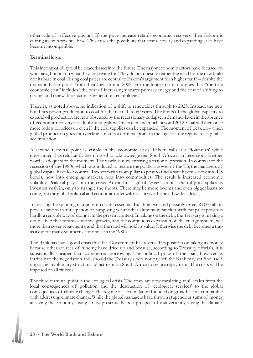other side of 'effective pricing'. If the price increase retards economic recovery, then Eskom is cutting its own revenue base. This raises the possibility that cost recovery and expanding sales have become incompatible.

#### **Terminal logic**

This incompatibility will be exacerbated into the future. The major economic actors have focused on who pays, but not on what they are paying for. They do not question either the need for the new build nor its base in coal. Rising coal prices are central to Eskom's argument for a higher tariff – despite the dramatic fall in prices from their high in mid-2008. For the longer term, it argues that "the true economic cost" includes "the cost of increasingly scarce primary energy and the cost of shifting to cleaner and renewable electricity generation technologies".

There is, as noted above, no indication of a shift to renewables through to 2025. Instead, the new build ties power production to coal for the next 40 to 60 years. The limits of the global capacity to expand oil production are now obscured by the recessionary collapse in demand. Even in the absence of economic recovery, it is doubtful supply will meet demand much beyond 2012. Coal will then once more follow oil prices up even if the coal supplies can be expanded. The moment of peak oil – when global production goes into decline – marks a terminal point in the logic of the regime of capitalist accumulation.

A second terminal point is visible in the economic crisis. Eskom calls it a 'downturn' while government has reluctantly been forced to acknowledge that South Africa is in 'recession'. Neither word is adequate to the moment. The world is now entering a major depression. In contrast to the recession of the 1980s, which was induced to restore the political power of the US, the managers of global capital have lost control. Investors run from pillar to post to find a safe haven – now into US bonds, now into emerging markets, now into commodities. The result is increased economic volatility. Peak oil plays into the crisis. At the first sign of 'green shoots', the oil price spikes as investors rush in, only to strangle the shoots. There may be more booms and even bigger busts to come, but the global political and economic order will not survive the next few decades.

Increasing the spinning margin is no doubt essential. Building two, and possibly three, R100-billion power stations in anticipation of supplying yet another aluminium smelter with cut price power is hardly a sensible way of doing it in the present context. In taking on the debt, the Treasury is making a double bet: that future economic growth, and the continuous expansion of the energy system, will more than cover repayments; and that the rand will hold its value. Otherwise the debt becomes a trap as it did for many Southern economies in the 1980s.

The Bank has had a good crisis thus far. Government has reversed its position on taking its money because other sources of funding have dried up and because, according to Treasury officials, it is substantially cheaper than commercial borrowing. The political price of the loan, however, is intrinsic to the negotiation and, should the Treasury's bets not pay off, the Bank may yet find itself imposing involuntary structural adjustment on South Africa to secure repayment. The costs will be imposed on all citizens.

The third terminal point is the ecological crisis. The costs are now escalating at all scales from the local consequences of pollution and the destruction of 'ecological services' to the global consequences of climate change. The regime of accumulation founded on growth is not compatible with addressing climate change. While the global managers have thrown stupendous sums of money at saving the economy, losing it now presents the best prospect of inadvertently saving the climate.

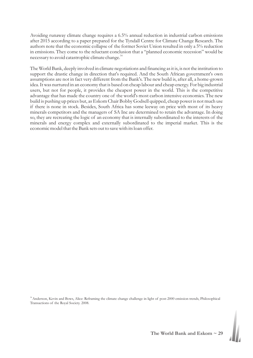Avoiding runaway climate change requires a 6.5% annual reduction in industrial carbon emissions after 2015 according to a paper prepared for the Tyndall Centre for Climate Change Research. The authors note that the economic collapse of the former Soviet Union resulted in only a 5% reduction in emissions. They come to the reluctant conclusion that a "planned economic recession" would be necessary to avoid catastrophic climate change.<sup>54</sup>

The World Bank, deeply involved in climate negotiations and financing as it is, is not the institution to support the drastic change in direction that's required. And the South African government's own assumptions are not in fact very different from the Bank's. The new build is, after all, a home-grown idea. It was nurtured in an economy that is based on cheap labour and cheap energy. For big industrial users, but not for people, it provides the cheapest power in the world. This is the competitive advantage that has made the country one of the world's most carbon intensive economies. The new build is pushing up prices but, as Eskom Chair Bobby Godsell quipped, cheap power is not much use if there is none in stock. Besides, South Africa has some leeway on price with most of its heavy minerals competitors and the managers of SA Inc are determined to retain the advantage. In doing so, they are recreating the logic of an economy that is internally subordinated to the interests of the minerals and energy complex and externally subordinated to the imperial market. This is the economic model that the Bank sets out to save with its loan offer.

<sup>54</sup> Anderson, Kevin and Bows, Alice: Reframing the climate change challenge in light of post-2000 emission trends, Philosophical Transactions of the Royal Society. 2008.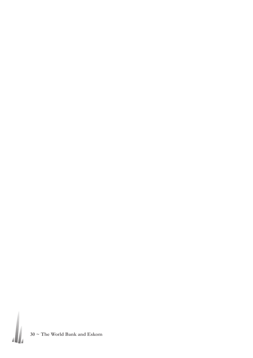